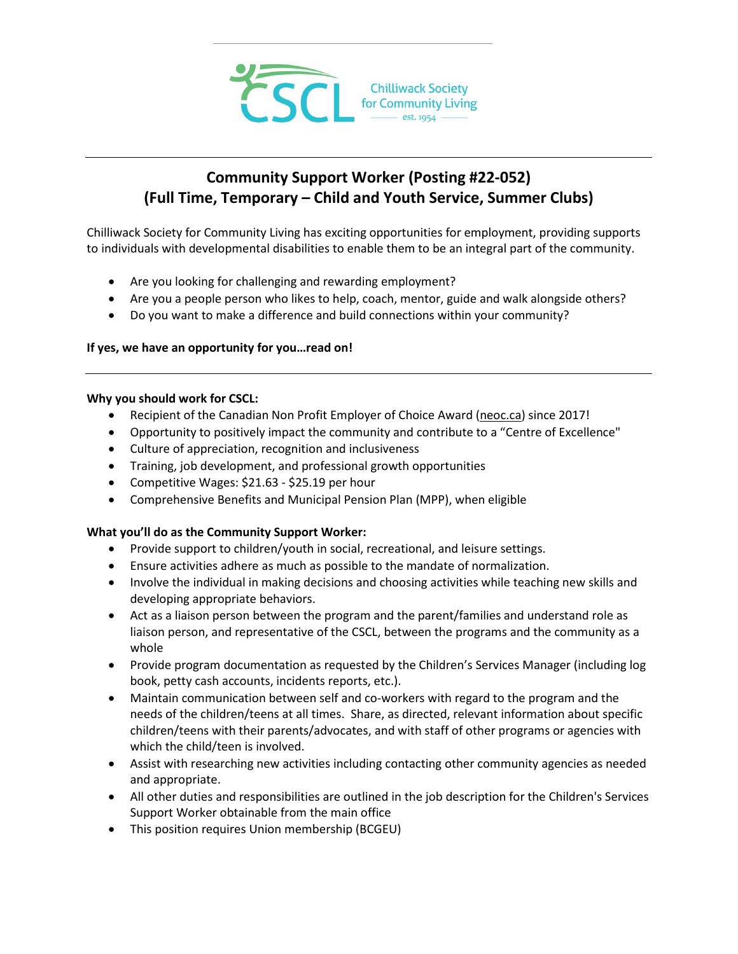

# **Community Support Worker (Posting #22-052) (Full Time, Temporary – Child and Youth Service, Summer Clubs)**

Chilliwack Society for Community Living has exciting opportunities for employment, providing supports to individuals with developmental disabilities to enable them to be an integral part of the community.

- Are you looking for challenging and rewarding employment?
- Are you a people person who likes to help, coach, mentor, guide and walk alongside others?
- Do you want to make a difference and build connections within your community?

### **If yes, we have an opportunity for you…read on!**

#### **Why you should work for CSCL:**

- Recipient of the Canadian Non Profit Employer of Choice Award [\(neoc.ca\)](http://neoc.ca/) since 2017!
- Opportunity to positively impact the community and contribute to a "Centre of Excellence"
- Culture of appreciation, recognition and inclusiveness
- Training, job development, and professional growth opportunities
- Competitive Wages: \$21.63 \$25.19 per hour
- Comprehensive Benefits and Municipal Pension Plan (MPP), when eligible

### **What you'll do as the Community Support Worker:**

- Provide support to children/youth in social, recreational, and leisure settings.
- Ensure activities adhere as much as possible to the mandate of normalization.
- Involve the individual in making decisions and choosing activities while teaching new skills and developing appropriate behaviors.
- Act as a liaison person between the program and the parent/families and understand role as liaison person, and representative of the CSCL, between the programs and the community as a whole
- Provide program documentation as requested by the Children's Services Manager (including log book, petty cash accounts, incidents reports, etc.).
- Maintain communication between self and co-workers with regard to the program and the needs of the children/teens at all times. Share, as directed, relevant information about specific children/teens with their parents/advocates, and with staff of other programs or agencies with which the child/teen is involved.
- Assist with researching new activities including contacting other community agencies as needed and appropriate.
- All other duties and responsibilities are outlined in the job description for the Children's Services Support Worker obtainable from the main office
- This position requires Union membership (BCGEU)